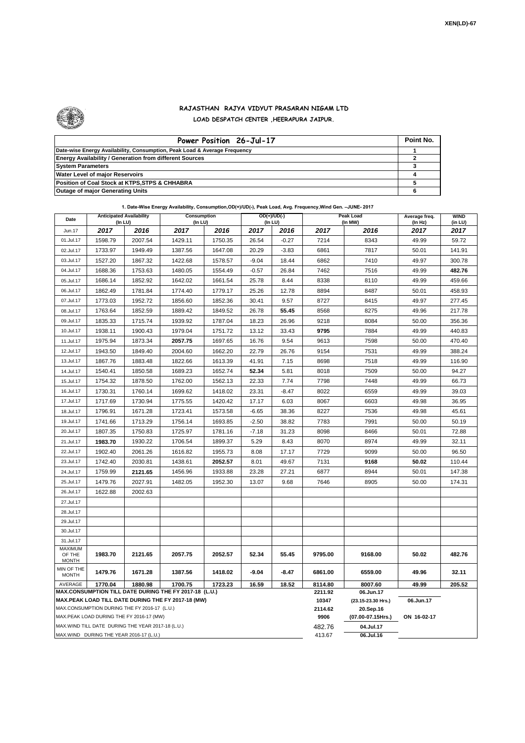

## **RAJASTHAN RAJYA VIDYUT PRASARAN NIGAM LTD LOAD DESPATCH CENTER ,HEERAPURA JAIPUR.**

| Power Position 26-Jul-17                                                  | Point No. |
|---------------------------------------------------------------------------|-----------|
| Date-wise Energy Availability, Consumption, Peak Load & Average Frequency |           |
| <b>Energy Availability / Generation from different Sources</b>            |           |
| <b>System Parameters</b>                                                  |           |
| <b>Water Level of major Reservoirs</b>                                    |           |
| Position of Coal Stock at KTPS, STPS & CHHABRA                            |           |
| <b>Outage of major Generating Units</b>                                   |           |

|                                   |                                              |         | 1. Date-Wise Energy Availability, Consumption, OD(+)/UD(-), Peak Load, Avg. Frequency, Wind Gen. - JUNE- 2017       |         |         |                          |                  |                                 |                          |                        |
|-----------------------------------|----------------------------------------------|---------|---------------------------------------------------------------------------------------------------------------------|---------|---------|--------------------------|------------------|---------------------------------|--------------------------|------------------------|
| Date                              | <b>Anticipated Availability</b><br>(In LU)   |         | <b>Consumption</b><br>(In LU)                                                                                       |         |         | $OD(+)/UD(-)$<br>(In LU) |                  | <b>Peak Load</b><br>(In MW)     | Average freq.<br>(In Hz) | <b>WIND</b><br>(in LU) |
| Jun.17                            | 2017                                         | 2016    | 2017                                                                                                                | 2016    | 2017    | 2016                     | 2017             | 2016                            | 2017                     | 2017                   |
| 01.Jul.17                         | 1598.79                                      | 2007.54 | 1429.11                                                                                                             | 1750.35 | 26.54   | $-0.27$                  | 7214             | 8343                            | 49.99                    | 59.72                  |
| 02.Jul.17                         | 1733.97                                      | 1949.49 | 1387.56                                                                                                             | 1647.08 | 20.29   | $-3.83$                  | 6861             | 7817                            | 50.01                    | 141.91                 |
| 03.Jul.17                         | 1527.20                                      | 1867.32 | 1422.68                                                                                                             | 1578.57 | $-9.04$ | 18.44                    | 6862             | 7410                            | 49.97                    | 300.78                 |
| 04.Jul.17                         | 1688.36                                      | 1753.63 | 1480.05                                                                                                             | 1554.49 | $-0.57$ | 26.84                    | 7462             | 7516                            | 49.99                    | 482.76                 |
| 05.Jul.17                         | 1686.14                                      | 1852.92 | 1642.02                                                                                                             | 1661.54 | 25.78   | 8.44                     | 8338             | 8110                            | 49.99                    | 459.66                 |
| 06.Jul.17                         | 1862.49                                      | 1781.84 | 1774.40                                                                                                             | 1779.17 | 25.26   | 12.78                    | 8894             | 8487                            | 50.01                    | 458.93                 |
| 07.Jul.17                         | 1773.03                                      | 1952.72 | 1856.60                                                                                                             | 1852.36 | 30.41   | 9.57                     | 8727             | 8415                            | 49.97                    | 277.45                 |
| 08.Jul.17                         | 1763.64                                      | 1852.59 | 1889.42                                                                                                             | 1849.52 | 26.78   | 55.45                    | 8568             | 8275                            | 49.96                    | 217.78                 |
| 09.Jul.17                         | 1835.33                                      | 1715.74 | 1939.92                                                                                                             | 1787.04 | 18.23   | 26.96                    | 9218             | 8084                            | 50.00                    | 356.36                 |
| 10.Jul.17                         | 1938.11                                      | 1900.43 | 1979.04                                                                                                             | 1751.72 | 13.12   | 33.43                    | 9795             | 7884                            | 49.99                    | 440.83                 |
| 11.Jul.17                         | 1975.94                                      | 1873.34 | 2057.75                                                                                                             | 1697.65 | 16.76   | 9.54                     | 9613             | 7598                            | 50.00                    | 470.40                 |
| 12.Jul.17                         | 1943.50                                      | 1849.40 | 2004.60                                                                                                             | 1662.20 | 22.79   | 26.76                    | 9154             | 7531                            | 49.99                    | 388.24                 |
| 13.Jul.17                         | 1867.76                                      | 1883.48 | 1822.66                                                                                                             | 1613.39 | 41.91   | 7.15                     | 8698             | 7518                            | 49.99                    | 116.90                 |
| 14.Jul.17                         | 1540.41                                      | 1850.58 | 1689.23                                                                                                             | 1652.74 | 52.34   | 5.81                     | 8018             | 7509                            | 50.00                    | 94.27                  |
| 15.Jul.17                         | 1754.32                                      | 1878.50 | 1762.00                                                                                                             | 1562.13 | 22.33   | 7.74                     | 7798             | 7448                            | 49.99                    | 66.73                  |
| 16.Jul.17                         | 1730.31                                      | 1760.14 | 1699.62                                                                                                             | 1418.02 | 23.31   | $-8.47$                  | 8022             | 6559                            | 49.99                    | 39.03                  |
| 17.Jul.17                         | 1717.69                                      | 1730.94 | 1775.55                                                                                                             | 1420.42 | 17.17   | 6.03                     | 8067             | 6603                            | 49.98                    | 36.95                  |
| 18.Jul.17                         | 1796.91                                      | 1671.28 | 1723.41                                                                                                             | 1573.58 | $-6.65$ | 38.36                    | 8227             | 7536                            | 49.98                    | 45.61                  |
| 19.Jul.17                         | 1741.66                                      | 1713.29 | 1756.14                                                                                                             | 1693.85 | $-2.50$ | 38.82                    | 7783             | 7991                            | 50.00                    | 50.19                  |
| 20.Jul.17                         | 1807.35                                      | 1750.83 | 1725.97                                                                                                             | 1781.16 | $-7.18$ | 31.23                    | 8098             | 8466                            | 50.01                    | 72.88                  |
| 21.Jul.17                         | 1983.70                                      | 1930.22 | 1706.54                                                                                                             | 1899.37 | 5.29    | 8.43                     | 8070             | 8974                            | 49.99                    | 32.11                  |
| 22.Jul.17                         | 1902.40                                      | 2061.26 | 1616.82                                                                                                             | 1955.73 | 8.08    | 17.17                    | 7729             | 9099                            | 50.00                    | 96.50                  |
| 23.Jul.17                         | 1742.40                                      | 2030.81 | 1438.61                                                                                                             | 2052.57 | 8.01    | 49.67                    | 7131             | 9168                            | 50.02                    | 110.44                 |
| 24.Jul.17                         | 1759.99                                      | 2121.65 | 1456.96                                                                                                             | 1933.88 | 23.28   | 27.21                    | 6877             | 8944                            | 50.01                    | 147.38                 |
| 25.Jul.17                         | 1479.76                                      | 2027.91 | 1482.05                                                                                                             | 1952.30 | 13.07   | 9.68                     | 7646             | 8905                            | 50.00                    | 174.31                 |
| 26.Jul.17                         | 1622.88                                      | 2002.63 |                                                                                                                     |         |         |                          |                  |                                 |                          |                        |
| 27.Jul.17                         |                                              |         |                                                                                                                     |         |         |                          |                  |                                 |                          |                        |
| 28.Jul.17                         |                                              |         |                                                                                                                     |         |         |                          |                  |                                 |                          |                        |
| 29.Jul.17                         |                                              |         |                                                                                                                     |         |         |                          |                  |                                 |                          |                        |
| 30.Jul.17                         |                                              |         |                                                                                                                     |         |         |                          |                  |                                 |                          |                        |
| 31.Jul.17                         |                                              |         |                                                                                                                     |         |         |                          |                  |                                 |                          |                        |
| MAXIMUM<br>OF THE<br><b>MONTH</b> | 1983.70                                      | 2121.65 | 2057.75                                                                                                             | 2052.57 | 52.34   | 55.45                    | 9795.00          | 9168.00                         | 50.02                    | 482.76                 |
| MIN OF THE<br><b>MONTH</b>        | 1479.76                                      | 1671.28 | 1387.56                                                                                                             | 1418.02 | -9.04   | -8.47                    | 6861.00          | 6559.00                         | 49.96                    | 32.11                  |
| AVERAGE                           | 1770.04                                      | 1880.98 | 1700.75                                                                                                             | 1723.23 | 16.59   | 18.52                    | 8114.80          | 8007.60                         | 49.99                    | 205.52                 |
|                                   |                                              |         | MAX.CONSUMPTION TILL DATE DURING THE FY 2017-18 (L.U.)<br><b>MAX.PEAK LOAD TILL DATE DURING THE FY 2017-18 (MW)</b> |         |         |                          | 2211.92<br>10347 | 06.Jun.17<br>(23.15-23.30 Hrs.) | 06.Jun.17                |                        |
|                                   | MAX.CONSUMPTION DURING THE FY 2016-17 (L.U.) |         |                                                                                                                     |         |         |                          | 2114.62          | 20.Sep.16                       |                          |                        |
|                                   |                                              |         |                                                                                                                     |         |         |                          |                  |                                 |                          |                        |

MAX.PEAK LOAD DURING THE FY 2016-17 (MW)

MAX.WIND TILL DATE DURING THE YEAR 2017-18 (L.U.) MAX.WIND DURING THE YEAR 2016-17 (L.U.)

413.67 **06.Jul.16**

**<sup>2114.62</sup> 20.Sep.16 9906 (07.00-07.15Hrs.) ON 16-02-17** 482.76 **04.Jul.17**<br>413.67 **06.Jul.16**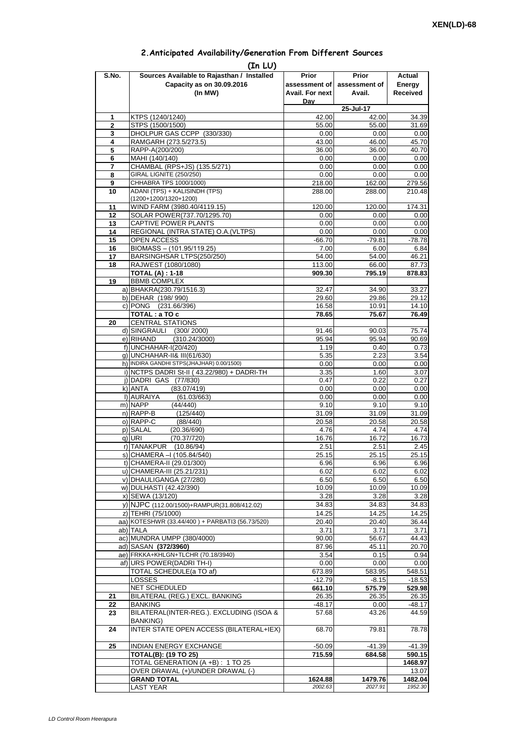| 2. Anticipated Availability/Generation From Different Sources |  |  |  |  |  |  |
|---------------------------------------------------------------|--|--|--|--|--|--|
|---------------------------------------------------------------|--|--|--|--|--|--|

| S.No.               | (In LU)<br>Sources Available to Rajasthan / Installed                    | Prior                  | <b>Prior</b>     | Actual            |
|---------------------|--------------------------------------------------------------------------|------------------------|------------------|-------------------|
|                     | Capacity as on 30.09.2016                                                | assessment of          | assessment of    | Energy            |
|                     | (In MW)                                                                  | <b>Avail. For next</b> | Avail.           | <b>Received</b>   |
|                     |                                                                          | Dav                    |                  |                   |
|                     |                                                                          |                        | 25-Jul-17        |                   |
| 1<br>$\overline{2}$ | KTPS (1240/1240)<br>STPS (1500/1500)                                     | 42.00<br>55.00         | 42.00<br>55.00   | 34.39<br>31.69    |
| 3                   | DHOLPUR GAS CCPP (330/330)                                               | 0.00                   | 0.00             | 0.00              |
| 4                   | RAMGARH (273.5/273.5)                                                    | 43.00                  | 46.00            | 45.70             |
| 5                   | RAPP-A(200/200)                                                          | 36.00                  | 36.00            | 40.70             |
| 6                   | MAHI (140/140)                                                           | 0.00                   | 0.00             | 0.00              |
| 7                   | CHAMBAL (RPS+JS) (135.5/271)                                             | 0.00                   | 0.00             | 0.00              |
| 8<br>9              | <b>GIRAL LIGNITE (250/250)</b><br>CHHABRA TPS 1000/1000)                 | 0.00                   | 0.00             | 0.00              |
| 10                  | ADANI (TPS) + KALISINDH (TPS)                                            | 218.00<br>288.00       | 162.00<br>288.00 | 279.56<br>210.48  |
|                     | (1200+1200/1320+1200)                                                    |                        |                  |                   |
| 11                  | WIND FARM (3980.40/4119.15)                                              | 120.00                 | 120.00           | 174.31            |
| 12                  | SOLAR POWER(737.70/1295.70)                                              | 0.00                   | 0.00             | 0.00              |
| 13                  | CAPTIVE POWER PLANTS                                                     | 0.00                   | 0.00             | 0.00              |
| 14<br>15            | REGIONAL (INTRA STATE) O.A. (VLTPS)<br>OPEN ACCESS                       | 0.00<br>$-66.70$       | 0.00<br>$-79.81$ | 0.00<br>$-78.78$  |
| 16                  | BIOMASS - (101.95/119.25)                                                | 7.00                   | 6.00             | 6.84              |
| 17                  | BARSINGHSAR LTPS(250/250)                                                | 54.00                  | 54.00            | 46.21             |
| 18                  | RAJWEST (1080/1080)                                                      | 113.00                 | 66.00            | 87.73             |
|                     | <b>TOTAL (A): 1-18</b>                                                   | 909.30                 | 795.19           | 878.83            |
| 19                  | <b>BBMB COMPLEX</b>                                                      |                        |                  |                   |
|                     | a) BHAKRA(230.79/1516.3)                                                 | 32.47                  | 34.90            | 33.27             |
|                     | b) DEHAR (198/990)<br>c) PONG (231.66/396)                               | 29.60<br>16.58         | 29.86<br>10.91   | 29.12<br>14.10    |
|                     | TOTAL : a TO c                                                           | 78.65                  | 75.67            | 76.49             |
| 20                  | <b>CENTRAL STATIONS</b>                                                  |                        |                  |                   |
|                     | d) SINGRAULI (300/2000)                                                  | 91.46                  | 90.03            | 75.74             |
|                     | e) RIHAND<br>(310.24/3000)                                               | 95.94                  | 95.94            | 90.69             |
|                     | f) UNCHAHAR-I(20/420)                                                    | 1.19                   | 0.40             | 0.73              |
|                     | q) UNCHAHAR-II& III(61/630)<br>h) INDIRA GANDHI STPS(JHAJHAR) 0.00/1500) | 5.35                   | 2.23             | 3.54              |
|                     | i) NCTPS DADRI St-II (43.22/980) + DADRI-TH                              | 0.00<br>3.35           | 0.00<br>1.60     | 0.00<br>3.07      |
|                     | j) DADRI GAS (77/830)                                                    | 0.47                   | 0.22             | 0.27              |
|                     | k) ANTA<br>(83.07/419)                                                   | 0.00                   | 0.00             | 0.00              |
|                     | I) AURAIYA<br>(61.03/663)                                                | 0.00                   | 0.00             | 0.00              |
|                     | m) NAPP<br>(44/440)                                                      | 9.10                   | 9.10             | 9.10              |
|                     | n) RAPP-B<br>(125/440)                                                   | 31.09                  | 31.09            | 31.09             |
|                     | o) RAPP-C<br>(88/440)<br>p) SALAL<br>(20.36/690)                         | 20.58<br>4.76          | 20.58<br>4.74    | 20.58<br>4.74     |
|                     | (70.37/720)<br>q) URI                                                    | 16.76                  | 16.72            | 16.73             |
|                     | r) TANAKPUR<br>(10.86/94)                                                | 2.51                   | 2.51             | 2.45              |
|                     | S) CHAMERA –I (105.84/540)                                               | 25.15                  | 25.15            | 25.15             |
|                     | t) CHAMERA-II (29.01/300)                                                | 6.96                   | 6.96             | 6.96              |
|                     | u) CHAMERA-III (25.21/231)                                               | 6.02                   | 6.02             | 6.02              |
|                     | v) DHAULIGANGA (27/280)                                                  | 6.50                   | 6.50             | 6.50              |
|                     | w) DULHASTI (42.42/390)<br>x) SEWA (13/120)                              | 10.09<br>3.28          | 10.09<br>3.28    | 10.09<br>3.28     |
|                     | y) NJPC (112.00/1500)+RAMPUR(31.808/412.02)                              | 34.83                  | 34.83            | 34.83             |
|                     | z) TEHRI (75/1000)                                                       | 14.25                  | 14.25            | 14.25             |
|                     | aa) KOTESHWR (33.44/400) + PARBATI3 (56.73/520)                          | 20.40                  | 20.40            | 36.44             |
|                     | ab) TALA                                                                 | 3.71                   | 3.71             | 3.71              |
|                     | ac) MUNDRA UMPP (380/4000)                                               | 90.00                  | 56.67            | 44.43             |
|                     | ad) SASAN (372/3960)<br>ae) FRKKA+KHLGN+TLCHR (70.18/3940)               | 87.96                  | 45.11            | 20.70             |
|                     | af) URS POWER(DADRI TH-I)                                                | 3.54<br>0.00           | 0.15<br>0.00     | 0.94<br>0.00      |
|                     | TOTAL SCHEDULE(a TO af)                                                  | 673.89                 | 583.95           | 548.51            |
|                     | <b>LOSSES</b>                                                            | $-12.79$               | $-8.15$          | $-18.53$          |
|                     | NET SCHEDULED                                                            | 661.10                 | 575.79           | 529.98            |
| 21                  | BILATERAL (REG.) EXCL. BANKING                                           | 26.35                  | 26.35            | 26.35             |
| 22<br>23            | <b>BANKING</b><br>BILATERAL(INTER-REG.). EXCLUDING (ISOA &               | $-48.17$<br>57.68      | 0.00<br>43.26    | $-48.17$<br>44.59 |
|                     | <b>BANKING)</b>                                                          |                        |                  |                   |
| 24                  | INTER STATE OPEN ACCESS (BILATERAL+IEX)                                  | 68.70                  | 79.81            | 78.78             |
| 25                  | INDIAN ENERGY EXCHANGE                                                   | $-50.09$               | $-41.39$         | $-41.39$          |
|                     | <b>TOTAL(B): (19 TO 25)</b>                                              | 715.59                 | 684.58           | 590.15            |
|                     | TOTAL GENERATION (A +B) : 1 TO 25                                        |                        |                  | 1468.97           |
|                     | OVER DRAWAL (+)/UNDER DRAWAL (-)                                         |                        |                  | 13.07             |
|                     | <b>GRAND TOTAL</b>                                                       | 1624.88                | 1479.76          | 1482.04           |
|                     | <b>LAST YEAR</b>                                                         | 2002.63                | 2027.91          | 1952.30           |